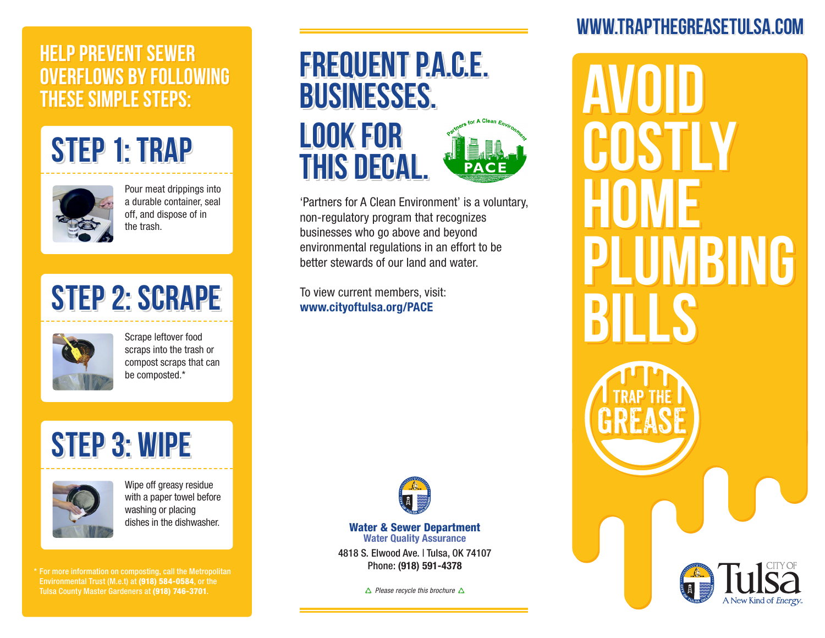#### **HELP PREVENT SEWER HELP PREVENT SEWER HELP OVERFLOWS BY FOLLOWING OVERFLOWS BY FOLLOWING OVERFLOWS BY FOLLOWING THESE SIMPLE STEPS:THESE SIMPLE STEPS: THESE SIMPLE STEPS:**





Pour meat drippings into a durable container, seal off, and dispose of in the trash.

## **STEP 2: SCRAPE STEP 2: SCRAPE STEP 2: SCRAPE**



Scrape leftover food scraps into the trash or compost scraps that can be composted.\*

# **STEP 3: WIPE STEP 3: WIPE STEP 3: WIPE**



Wipe off greasy residue with a paper towel before washing or placing dishes in the dishwasher.

\* For more information on composting, call the Metropolitan Environmental Trust (M.e.t) at (918) 584-0584, or the Tulsa County Master Gardeners at (918) 746-3701.

## **FREQUENT P.A.C.E. FREQUENT P.A.C.E. FREQUENT P.A.C.E. BUSINESSES. BUSINESSES. BUSINESSES.**





'Partners for A Clean Environment' is a voluntary, non-regulatory program that recognizes businesses who go above and beyond environmental regulations in an effort to be better stewards of our land and water.

To view current members, visit: www.cityoftulsa.org/PACE



Water & Sewer Department Water Quality Assurance

4818 S. Elwood Ave. | Tulsa, OK 74107 Phone: (918) 591-4378

*Please recycle this brochure*

#### **WWW.TRAPTHEGREASETULSA.COM WWW.TRAPTHEGREASETULSA.COM WWW.TRAPTHEGREASETULSA.COM**

**AVOID AVOID AVOID COSTLY COSTLY COSTLY HOME PLUMBING PLUMBING PLUMBING BILLS HOME BILLS HOME BILLS**